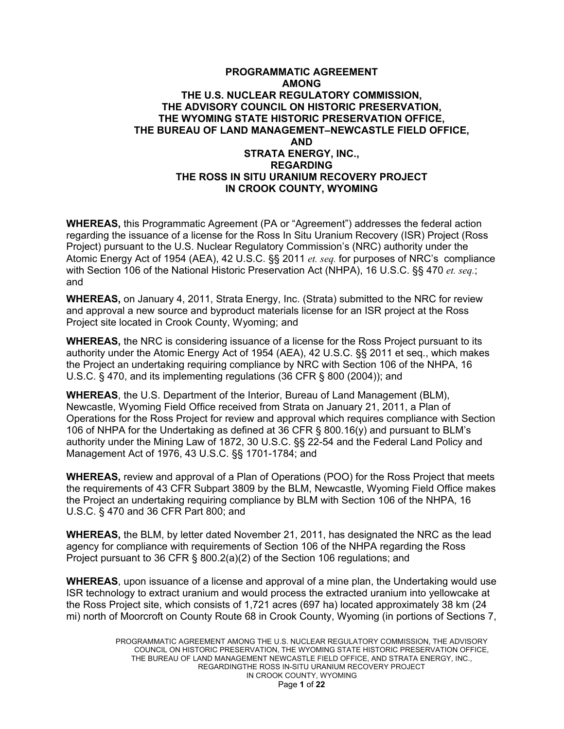#### **PROGRAMMATIC AGREEMENT AMONG THE U.S. NUCLEAR REGULATORY COMMISSION, THE ADVISORY COUNCIL ON HISTORIC PRESERVATION, THE WYOMING STATE HISTORIC PRESERVATION OFFICE, THE BUREAU OF LAND MANAGEMENT–NEWCASTLE FIELD OFFICE, AND STRATA ENERGY, INC., REGARDING THE ROSS IN SITU URANIUM RECOVERY PROJECT IN CROOK COUNTY, WYOMING**

**WHEREAS,** this Programmatic Agreement (PA or "Agreement") addresses the federal action regarding the issuance of a license for the Ross In Situ Uranium Recovery (ISR) Project (Ross Project) pursuant to the U.S. Nuclear Regulatory Commission's (NRC) authority under the Atomic Energy Act of 1954 (AEA), 42 U.S.C. §§ 2011 *et. seq.* for purposes of NRC's compliance with Section 106 of the National Historic Preservation Act (NHPA), 16 U.S.C. §§ 470 *et. seq.*; and

**WHEREAS,** on January 4, 2011, Strata Energy, Inc. (Strata) submitted to the NRC for review and approval a new source and byproduct materials license for an ISR project at the Ross Project site located in Crook County, Wyoming; and

**WHEREAS,** the NRC is considering issuance of a license for the Ross Project pursuant to its authority under the Atomic Energy Act of 1954 (AEA), 42 U.S.C. §§ 2011 et seq., which makes the Project an undertaking requiring compliance by NRC with Section 106 of the NHPA, 16 U.S.C. § 470, and its implementing regulations (36 CFR § 800 (2004)); and

**WHEREAS**, the U.S. Department of the Interior, Bureau of Land Management (BLM), Newcastle, Wyoming Field Office received from Strata on January 21, 2011, a Plan of Operations for the Ross Project for review and approval which requires compliance with Section 106 of NHPA for the Undertaking as defined at 36 CFR § 800.16(y) and pursuant to BLM's authority under the Mining Law of 1872, 30 U.S.C. §§ 22-54 and the Federal Land Policy and Management Act of 1976, 43 U.S.C. §§ 1701-1784; and

**WHEREAS,** review and approval of a Plan of Operations (POO) for the Ross Project that meets the requirements of 43 CFR Subpart 3809 by the BLM, Newcastle, Wyoming Field Office makes the Project an undertaking requiring compliance by BLM with Section 106 of the NHPA, 16 U.S.C. § 470 and 36 CFR Part 800; and

**WHEREAS,** the BLM, by letter dated November 21, 2011, has designated the NRC as the lead agency for compliance with requirements of Section 106 of the NHPA regarding the Ross Project pursuant to 36 CFR § 800.2(a)(2) of the Section 106 regulations; and

**WHEREAS**, upon issuance of a license and approval of a mine plan, the Undertaking would use ISR technology to extract uranium and would process the extracted uranium into yellowcake at the Ross Project site, which consists of 1,721 acres (697 ha) located approximately 38 km (24 mi) north of Moorcroft on County Route 68 in Crook County, Wyoming (in portions of Sections 7,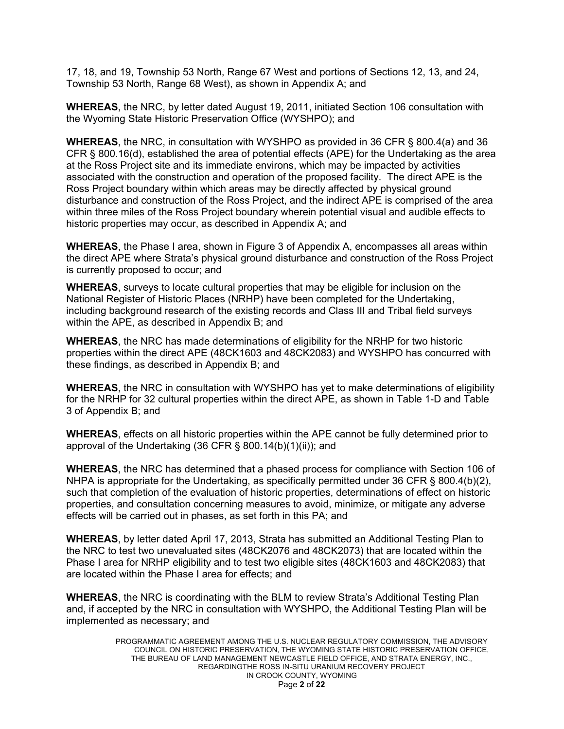17, 18, and 19, Township 53 North, Range 67 West and portions of Sections 12, 13, and 24, Township 53 North, Range 68 West), as shown in Appendix A; and

**WHEREAS**, the NRC, by letter dated August 19, 2011, initiated Section 106 consultation with the Wyoming State Historic Preservation Office (WYSHPO); and

**WHEREAS**, the NRC, in consultation with WYSHPO as provided in 36 CFR § 800.4(a) and 36 CFR § 800.16(d), established the area of potential effects (APE) for the Undertaking as the area at the Ross Project site and its immediate environs, which may be impacted by activities associated with the construction and operation of the proposed facility. The direct APE is the Ross Project boundary within which areas may be directly affected by physical ground disturbance and construction of the Ross Project, and the indirect APE is comprised of the area within three miles of the Ross Project boundary wherein potential visual and audible effects to historic properties may occur, as described in Appendix A; and

**WHEREAS**, the Phase I area, shown in Figure 3 of Appendix A, encompasses all areas within the direct APE where Strata's physical ground disturbance and construction of the Ross Project is currently proposed to occur; and

**WHEREAS**, surveys to locate cultural properties that may be eligible for inclusion on the National Register of Historic Places (NRHP) have been completed for the Undertaking, including background research of the existing records and Class III and Tribal field surveys within the APE, as described in Appendix B; and

**WHEREAS**, the NRC has made determinations of eligibility for the NRHP for two historic properties within the direct APE (48CK1603 and 48CK2083) and WYSHPO has concurred with these findings, as described in Appendix B; and

**WHEREAS**, the NRC in consultation with WYSHPO has yet to make determinations of eligibility for the NRHP for 32 cultural properties within the direct APE, as shown in Table 1-D and Table 3 of Appendix B; and

**WHEREAS**, effects on all historic properties within the APE cannot be fully determined prior to approval of the Undertaking (36 CFR § 800.14(b)(1)(ii)); and

**WHEREAS**, the NRC has determined that a phased process for compliance with Section 106 of NHPA is appropriate for the Undertaking, as specifically permitted under 36 CFR § 800.4(b)(2), such that completion of the evaluation of historic properties, determinations of effect on historic properties, and consultation concerning measures to avoid, minimize, or mitigate any adverse effects will be carried out in phases, as set forth in this PA; and

**WHEREAS**, by letter dated April 17, 2013, Strata has submitted an Additional Testing Plan to the NRC to test two unevaluated sites (48CK2076 and 48CK2073) that are located within the Phase I area for NRHP eligibility and to test two eligible sites (48CK1603 and 48CK2083) that are located within the Phase I area for effects; and

**WHEREAS**, the NRC is coordinating with the BLM to review Strata's Additional Testing Plan and, if accepted by the NRC in consultation with WYSHPO, the Additional Testing Plan will be implemented as necessary; and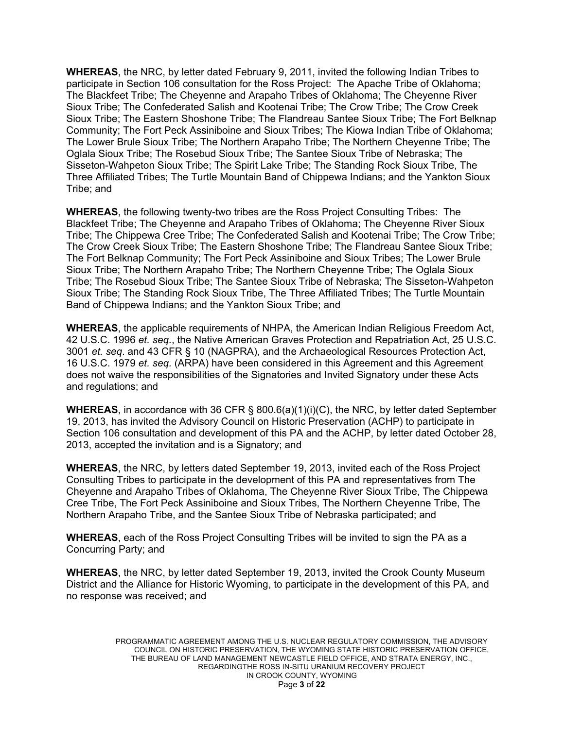**WHEREAS**, the NRC, by letter dated February 9, 2011, invited the following Indian Tribes to participate in Section 106 consultation for the Ross Project: The Apache Tribe of Oklahoma; The Blackfeet Tribe; The Cheyenne and Arapaho Tribes of Oklahoma; The Cheyenne River Sioux Tribe; The Confederated Salish and Kootenai Tribe; The Crow Tribe; The Crow Creek Sioux Tribe; The Eastern Shoshone Tribe; The Flandreau Santee Sioux Tribe; The Fort Belknap Community; The Fort Peck Assiniboine and Sioux Tribes; The Kiowa Indian Tribe of Oklahoma; The Lower Brule Sioux Tribe; The Northern Arapaho Tribe; The Northern Cheyenne Tribe; The Oglala Sioux Tribe; The Rosebud Sioux Tribe; The Santee Sioux Tribe of Nebraska; The Sisseton-Wahpeton Sioux Tribe; The Spirit Lake Tribe; The Standing Rock Sioux Tribe, The Three Affiliated Tribes; The Turtle Mountain Band of Chippewa Indians; and the Yankton Sioux Tribe; and

**WHEREAS**, the following twenty-two tribes are the Ross Project Consulting Tribes: The Blackfeet Tribe; The Cheyenne and Arapaho Tribes of Oklahoma; The Cheyenne River Sioux Tribe; The Chippewa Cree Tribe; The Confederated Salish and Kootenai Tribe; The Crow Tribe; The Crow Creek Sioux Tribe; The Eastern Shoshone Tribe; The Flandreau Santee Sioux Tribe; The Fort Belknap Community; The Fort Peck Assiniboine and Sioux Tribes; The Lower Brule Sioux Tribe; The Northern Arapaho Tribe; The Northern Cheyenne Tribe; The Oglala Sioux Tribe; The Rosebud Sioux Tribe; The Santee Sioux Tribe of Nebraska; The Sisseton-Wahpeton Sioux Tribe; The Standing Rock Sioux Tribe, The Three Affiliated Tribes; The Turtle Mountain Band of Chippewa Indians; and the Yankton Sioux Tribe; and

**WHEREAS**, the applicable requirements of NHPA, the American Indian Religious Freedom Act, 42 U.S.C. 1996 *et. seq.*, the Native American Graves Protection and Repatriation Act, 25 U.S.C. 3001 *et. seq*. and 43 CFR § 10 (NAGPRA), and the Archaeological Resources Protection Act, 16 U.S.C. 1979 *et. seq.* (ARPA) have been considered in this Agreement and this Agreement does not waive the responsibilities of the Signatories and Invited Signatory under these Acts and regulations; and

**WHEREAS**, in accordance with 36 CFR § 800.6(a)(1)(i)(C), the NRC, by letter dated September 19, 2013, has invited the Advisory Council on Historic Preservation (ACHP) to participate in Section 106 consultation and development of this PA and the ACHP, by letter dated October 28, 2013, accepted the invitation and is a Signatory; and

**WHEREAS**, the NRC, by letters dated September 19, 2013, invited each of the Ross Project Consulting Tribes to participate in the development of this PA and representatives from The Cheyenne and Arapaho Tribes of Oklahoma, The Cheyenne River Sioux Tribe, The Chippewa Cree Tribe, The Fort Peck Assiniboine and Sioux Tribes, The Northern Cheyenne Tribe, The Northern Arapaho Tribe, and the Santee Sioux Tribe of Nebraska participated; and

**WHEREAS**, each of the Ross Project Consulting Tribes will be invited to sign the PA as a Concurring Party; and

**WHEREAS**, the NRC, by letter dated September 19, 2013, invited the Crook County Museum District and the Alliance for Historic Wyoming, to participate in the development of this PA, and no response was received; and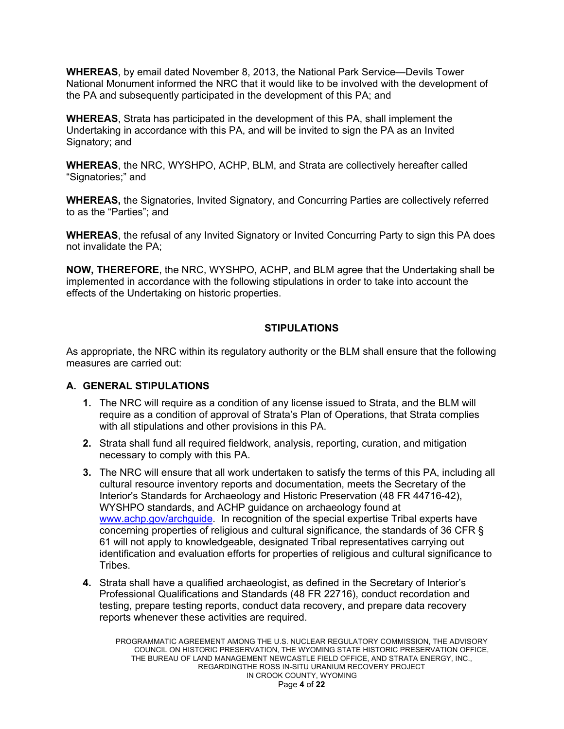**WHEREAS**, by email dated November 8, 2013, the National Park Service—Devils Tower National Monument informed the NRC that it would like to be involved with the development of the PA and subsequently participated in the development of this PA; and

**WHEREAS**, Strata has participated in the development of this PA, shall implement the Undertaking in accordance with this PA, and will be invited to sign the PA as an Invited Signatory; and

**WHEREAS**, the NRC, WYSHPO, ACHP, BLM, and Strata are collectively hereafter called "Signatories;" and

**WHEREAS,** the Signatories, Invited Signatory, and Concurring Parties are collectively referred to as the "Parties"; and

**WHEREAS**, the refusal of any Invited Signatory or Invited Concurring Party to sign this PA does not invalidate the PA;

**NOW, THEREFORE**, the NRC, WYSHPO, ACHP, and BLM agree that the Undertaking shall be implemented in accordance with the following stipulations in order to take into account the effects of the Undertaking on historic properties.

# **STIPULATIONS**

As appropriate, the NRC within its regulatory authority or the BLM shall ensure that the following measures are carried out:

# **A. GENERAL STIPULATIONS**

- **1.** The NRC will require as a condition of any license issued to Strata, and the BLM will require as a condition of approval of Strata's Plan of Operations, that Strata complies with all stipulations and other provisions in this PA.
- **2.** Strata shall fund all required fieldwork, analysis, reporting, curation, and mitigation necessary to comply with this PA.
- **3.** The NRC will ensure that all work undertaken to satisfy the terms of this PA, including all cultural resource inventory reports and documentation, meets the Secretary of the Interior's Standards for Archaeology and Historic Preservation (48 FR 44716-42), WYSHPO standards, and ACHP guidance on archaeology found at www.achp.gov/archguide. In recognition of the special expertise Tribal experts have concerning properties of religious and cultural significance, the standards of 36 CFR § 61 will not apply to knowledgeable, designated Tribal representatives carrying out identification and evaluation efforts for properties of religious and cultural significance to Tribes.
- **4.** Strata shall have a qualified archaeologist, as defined in the Secretary of Interior's Professional Qualifications and Standards (48 FR 22716), conduct recordation and testing, prepare testing reports, conduct data recovery, and prepare data recovery reports whenever these activities are required.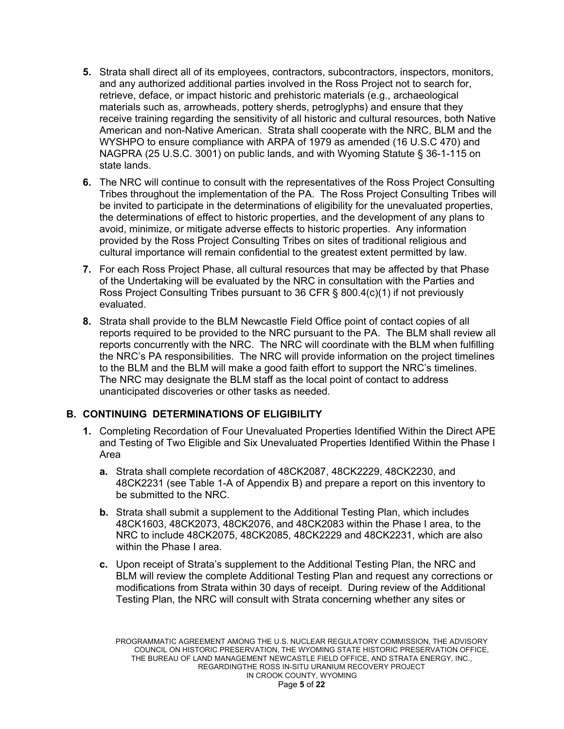- **5.** Strata shall direct all of its employees, contractors, subcontractors, inspectors, monitors, and any authorized additional parties involved in the Ross Project not to search for, retrieve, deface, or impact historic and prehistoric materials (e.g., archaeological materials such as, arrowheads, pottery sherds, petroglyphs) and ensure that they receive training regarding the sensitivity of all historic and cultural resources, both Native American and non-Native American. Strata shall cooperate with the NRC, BLM and the WYSHPO to ensure compliance with ARPA of 1979 as amended (16 U.S.C 470) and NAGPRA (25 U.S.C. 3001) on public lands, and with Wyoming Statute § 36-1-115 on state lands.
- **6.** The NRC will continue to consult with the representatives of the Ross Project Consulting Tribes throughout the implementation of the PA. The Ross Project Consulting Tribes will be invited to participate in the determinations of eligibility for the unevaluated properties, the determinations of effect to historic properties, and the development of any plans to avoid, minimize, or mitigate adverse effects to historic properties. Any information provided by the Ross Project Consulting Tribes on sites of traditional religious and cultural importance will remain confidential to the greatest extent permitted by law.
- **7.** For each Ross Project Phase, all cultural resources that may be affected by that Phase of the Undertaking will be evaluated by the NRC in consultation with the Parties and Ross Project Consulting Tribes pursuant to 36 CFR § 800.4(c)(1) if not previously evaluated.
- **8.** Strata shall provide to the BLM Newcastle Field Office point of contact copies of all reports required to be provided to the NRC pursuant to the PA. The BLM shall review all reports concurrently with the NRC. The NRC will coordinate with the BLM when fulfilling the NRC's PA responsibilities. The NRC will provide information on the project timelines to the BLM and the BLM will make a good faith effort to support the NRC's timelines. The NRC may designate the BLM staff as the local point of contact to address unanticipated discoveries or other tasks as needed.

# **B. CONTINUING DETERMINATIONS OF ELIGIBILITY**

- **1.** Completing Recordation of Four Unevaluated Properties Identified Within the Direct APE and Testing of Two Eligible and Six Unevaluated Properties Identified Within the Phase I Area
	- **a.** Strata shall complete recordation of 48CK2087, 48CK2229, 48CK2230, and 48CK2231 (see Table 1-A of Appendix B) and prepare a report on this inventory to be submitted to the NRC.
	- **b.** Strata shall submit a supplement to the Additional Testing Plan, which includes 48CK1603, 48CK2073, 48CK2076, and 48CK2083 within the Phase I area, to the NRC to include 48CK2075, 48CK2085, 48CK2229 and 48CK2231, which are also within the Phase I area.
	- **c.** Upon receipt of Strata's supplement to the Additional Testing Plan, the NRC and BLM will review the complete Additional Testing Plan and request any corrections or modifications from Strata within 30 days of receipt. During review of the Additional Testing Plan, the NRC will consult with Strata concerning whether any sites or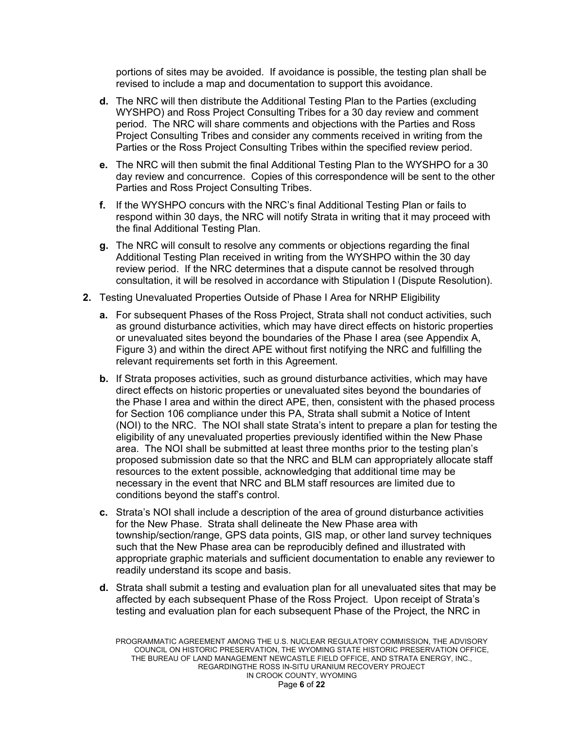portions of sites may be avoided. If avoidance is possible, the testing plan shall be revised to include a map and documentation to support this avoidance.

- **d.** The NRC will then distribute the Additional Testing Plan to the Parties (excluding WYSHPO) and Ross Project Consulting Tribes for a 30 day review and comment period. The NRC will share comments and objections with the Parties and Ross Project Consulting Tribes and consider any comments received in writing from the Parties or the Ross Project Consulting Tribes within the specified review period.
- **e.** The NRC will then submit the final Additional Testing Plan to the WYSHPO for a 30 day review and concurrence. Copies of this correspondence will be sent to the other Parties and Ross Project Consulting Tribes.
- **f.** If the WYSHPO concurs with the NRC's final Additional Testing Plan or fails to respond within 30 days, the NRC will notify Strata in writing that it may proceed with the final Additional Testing Plan.
- **g.** The NRC will consult to resolve any comments or objections regarding the final Additional Testing Plan received in writing from the WYSHPO within the 30 day review period. If the NRC determines that a dispute cannot be resolved through consultation, it will be resolved in accordance with Stipulation I (Dispute Resolution).
- **2.** Testing Unevaluated Properties Outside of Phase I Area for NRHP Eligibility
	- **a.** For subsequent Phases of the Ross Project, Strata shall not conduct activities, such as ground disturbance activities, which may have direct effects on historic properties or unevaluated sites beyond the boundaries of the Phase I area (see Appendix A, Figure 3) and within the direct APE without first notifying the NRC and fulfilling the relevant requirements set forth in this Agreement.
	- **b.** If Strata proposes activities, such as ground disturbance activities, which may have direct effects on historic properties or unevaluated sites beyond the boundaries of the Phase I area and within the direct APE, then, consistent with the phased process for Section 106 compliance under this PA, Strata shall submit a Notice of Intent (NOI) to the NRC. The NOI shall state Strata's intent to prepare a plan for testing the eligibility of any unevaluated properties previously identified within the New Phase area. The NOI shall be submitted at least three months prior to the testing plan's proposed submission date so that the NRC and BLM can appropriately allocate staff resources to the extent possible, acknowledging that additional time may be necessary in the event that NRC and BLM staff resources are limited due to conditions beyond the staff's control.
	- **c.** Strata's NOI shall include a description of the area of ground disturbance activities for the New Phase. Strata shall delineate the New Phase area with township/section/range, GPS data points, GIS map, or other land survey techniques such that the New Phase area can be reproducibly defined and illustrated with appropriate graphic materials and sufficient documentation to enable any reviewer to readily understand its scope and basis.
	- **d.** Strata shall submit a testing and evaluation plan for all unevaluated sites that may be affected by each subsequent Phase of the Ross Project. Upon receipt of Strata's testing and evaluation plan for each subsequent Phase of the Project, the NRC in

PROGRAMMATIC AGREEMENT AMONG THE U.S. NUCLEAR REGULATORY COMMISSION, THE ADVISORY COUNCIL ON HISTORIC PRESERVATION, THE WYOMING STATE HISTORIC PRESERVATION OFFICE, THE BUREAU OF LAND MANAGEMENT NEWCASTLE FIELD OFFICE, AND STRATA ENERGY, INC., REGARDINGTHE ROSS IN-SITU URANIUM RECOVERY PROJECT IN CROOK COUNTY, WYOMING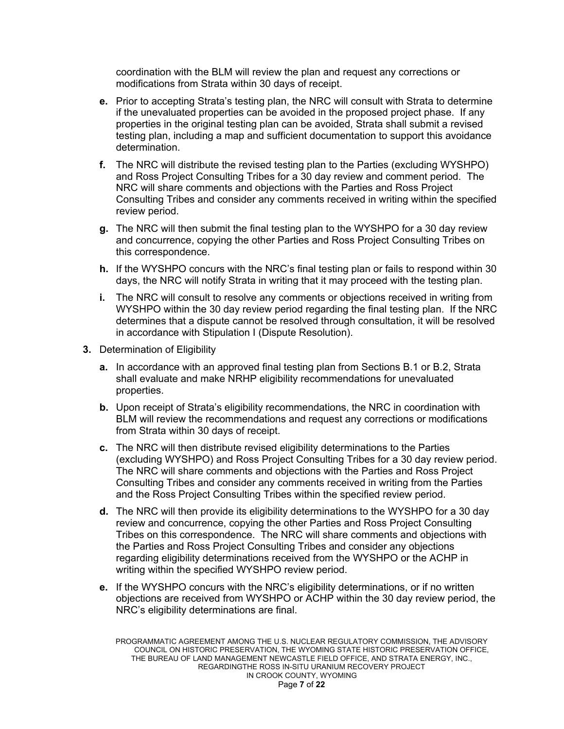coordination with the BLM will review the plan and request any corrections or modifications from Strata within 30 days of receipt.

- **e.** Prior to accepting Strata's testing plan, the NRC will consult with Strata to determine if the unevaluated properties can be avoided in the proposed project phase. If any properties in the original testing plan can be avoided, Strata shall submit a revised testing plan, including a map and sufficient documentation to support this avoidance determination.
- **f.** The NRC will distribute the revised testing plan to the Parties (excluding WYSHPO) and Ross Project Consulting Tribes for a 30 day review and comment period. The NRC will share comments and objections with the Parties and Ross Project Consulting Tribes and consider any comments received in writing within the specified review period.
- **g.** The NRC will then submit the final testing plan to the WYSHPO for a 30 day review and concurrence, copying the other Parties and Ross Project Consulting Tribes on this correspondence.
- **h.** If the WYSHPO concurs with the NRC's final testing plan or fails to respond within 30 days, the NRC will notify Strata in writing that it may proceed with the testing plan.
- **i.** The NRC will consult to resolve any comments or objections received in writing from WYSHPO within the 30 day review period regarding the final testing plan. If the NRC determines that a dispute cannot be resolved through consultation, it will be resolved in accordance with Stipulation I (Dispute Resolution).
- **3.** Determination of Eligibility
	- **a.** In accordance with an approved final testing plan from Sections B.1 or B.2, Strata shall evaluate and make NRHP eligibility recommendations for unevaluated properties.
	- **b.** Upon receipt of Strata's eligibility recommendations, the NRC in coordination with BLM will review the recommendations and request any corrections or modifications from Strata within 30 days of receipt.
	- **c.** The NRC will then distribute revised eligibility determinations to the Parties (excluding WYSHPO) and Ross Project Consulting Tribes for a 30 day review period. The NRC will share comments and objections with the Parties and Ross Project Consulting Tribes and consider any comments received in writing from the Parties and the Ross Project Consulting Tribes within the specified review period.
	- **d.** The NRC will then provide its eligibility determinations to the WYSHPO for a 30 day review and concurrence, copying the other Parties and Ross Project Consulting Tribes on this correspondence. The NRC will share comments and objections with the Parties and Ross Project Consulting Tribes and consider any objections regarding eligibility determinations received from the WYSHPO or the ACHP in writing within the specified WYSHPO review period.
	- **e.** If the WYSHPO concurs with the NRC's eligibility determinations, or if no written objections are received from WYSHPO or ACHP within the 30 day review period, the NRC's eligibility determinations are final.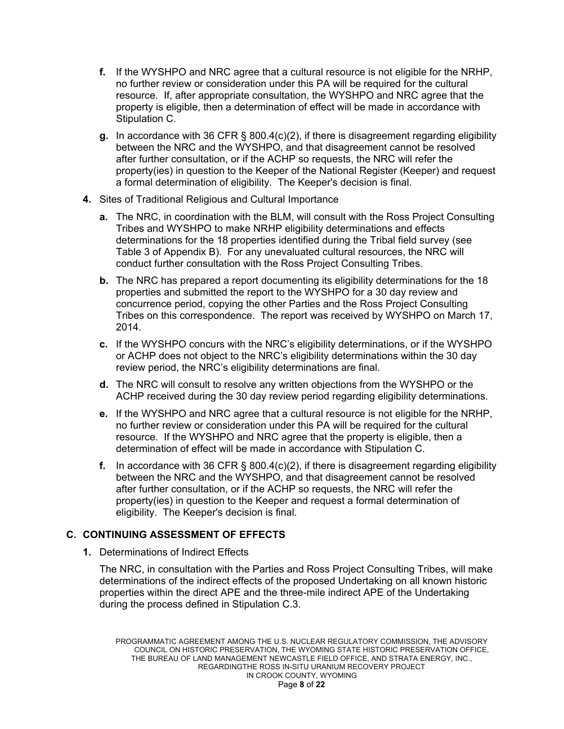- **f.** If the WYSHPO and NRC agree that a cultural resource is not eligible for the NRHP, no further review or consideration under this PA will be required for the cultural resource. If, after appropriate consultation, the WYSHPO and NRC agree that the property is eligible, then a determination of effect will be made in accordance with Stipulation C.
- **g.** In accordance with 36 CFR § 800.4(c)(2), if there is disagreement regarding eligibility between the NRC and the WYSHPO, and that disagreement cannot be resolved after further consultation, or if the ACHP so requests, the NRC will refer the property(ies) in question to the Keeper of the National Register (Keeper) and request a formal determination of eligibility. The Keeper's decision is final.
- **4.** Sites of Traditional Religious and Cultural Importance
	- **a.** The NRC, in coordination with the BLM, will consult with the Ross Project Consulting Tribes and WYSHPO to make NRHP eligibility determinations and effects determinations for the 18 properties identified during the Tribal field survey (see Table 3 of Appendix B). For any unevaluated cultural resources, the NRC will conduct further consultation with the Ross Project Consulting Tribes.
	- **b.** The NRC has prepared a report documenting its eligibility determinations for the 18 properties and submitted the report to the WYSHPO for a 30 day review and concurrence period, copying the other Parties and the Ross Project Consulting Tribes on this correspondence. The report was received by WYSHPO on March 17, 2014.
	- **c.** If the WYSHPO concurs with the NRC's eligibility determinations, or if the WYSHPO or ACHP does not object to the NRC's eligibility determinations within the 30 day review period, the NRC's eligibility determinations are final.
	- **d.** The NRC will consult to resolve any written objections from the WYSHPO or the ACHP received during the 30 day review period regarding eligibility determinations.
	- **e.** If the WYSHPO and NRC agree that a cultural resource is not eligible for the NRHP, no further review or consideration under this PA will be required for the cultural resource. If the WYSHPO and NRC agree that the property is eligible, then a determination of effect will be made in accordance with Stipulation C.
	- **f.** In accordance with 36 CFR § 800.4(c)(2), if there is disagreement regarding eligibility between the NRC and the WYSHPO, and that disagreement cannot be resolved after further consultation, or if the ACHP so requests, the NRC will refer the property(ies) in question to the Keeper and request a formal determination of eligibility. The Keeper's decision is final.

# **C. CONTINUING ASSESSMENT OF EFFECTS**

**1.** Determinations of Indirect Effects

The NRC, in consultation with the Parties and Ross Project Consulting Tribes, will make determinations of the indirect effects of the proposed Undertaking on all known historic properties within the direct APE and the three-mile indirect APE of the Undertaking during the process defined in Stipulation C.3.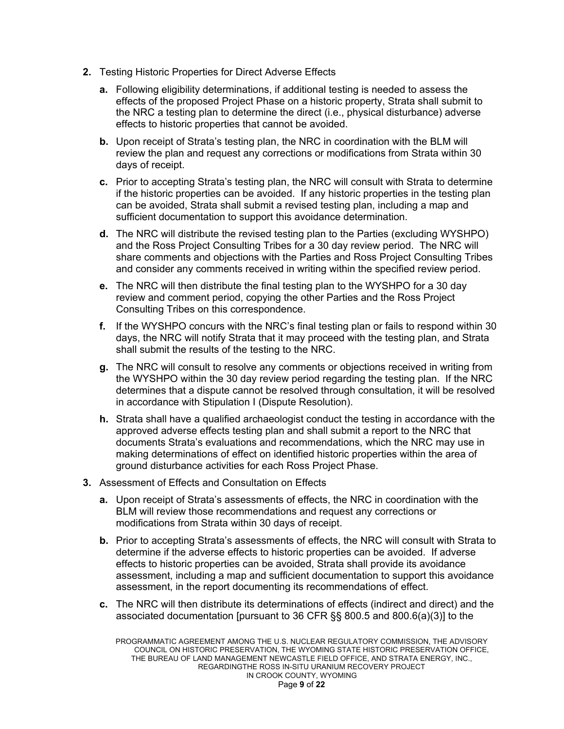- **2.** Testing Historic Properties for Direct Adverse Effects
	- **a.** Following eligibility determinations, if additional testing is needed to assess the effects of the proposed Project Phase on a historic property, Strata shall submit to the NRC a testing plan to determine the direct (i.e., physical disturbance) adverse effects to historic properties that cannot be avoided.
	- **b.** Upon receipt of Strata's testing plan, the NRC in coordination with the BLM will review the plan and request any corrections or modifications from Strata within 30 days of receipt.
	- **c.** Prior to accepting Strata's testing plan, the NRC will consult with Strata to determine if the historic properties can be avoided. If any historic properties in the testing plan can be avoided, Strata shall submit a revised testing plan, including a map and sufficient documentation to support this avoidance determination.
	- **d.** The NRC will distribute the revised testing plan to the Parties (excluding WYSHPO) and the Ross Project Consulting Tribes for a 30 day review period. The NRC will share comments and objections with the Parties and Ross Project Consulting Tribes and consider any comments received in writing within the specified review period.
	- **e.** The NRC will then distribute the final testing plan to the WYSHPO for a 30 day review and comment period, copying the other Parties and the Ross Project Consulting Tribes on this correspondence.
	- **f.** If the WYSHPO concurs with the NRC's final testing plan or fails to respond within 30 days, the NRC will notify Strata that it may proceed with the testing plan, and Strata shall submit the results of the testing to the NRC.
	- **g.** The NRC will consult to resolve any comments or objections received in writing from the WYSHPO within the 30 day review period regarding the testing plan. If the NRC determines that a dispute cannot be resolved through consultation, it will be resolved in accordance with Stipulation I (Dispute Resolution).
	- **h.** Strata shall have a qualified archaeologist conduct the testing in accordance with the approved adverse effects testing plan and shall submit a report to the NRC that documents Strata's evaluations and recommendations, which the NRC may use in making determinations of effect on identified historic properties within the area of ground disturbance activities for each Ross Project Phase.
- **3.** Assessment of Effects and Consultation on Effects
	- **a.** Upon receipt of Strata's assessments of effects, the NRC in coordination with the BLM will review those recommendations and request any corrections or modifications from Strata within 30 days of receipt.
	- **b.** Prior to accepting Strata's assessments of effects, the NRC will consult with Strata to determine if the adverse effects to historic properties can be avoided. If adverse effects to historic properties can be avoided, Strata shall provide its avoidance assessment, including a map and sufficient documentation to support this avoidance assessment, in the report documenting its recommendations of effect.
	- **c.** The NRC will then distribute its determinations of effects (indirect and direct) and the associated documentation [pursuant to 36 CFR §§ 800.5 and 800.6(a)(3)] to the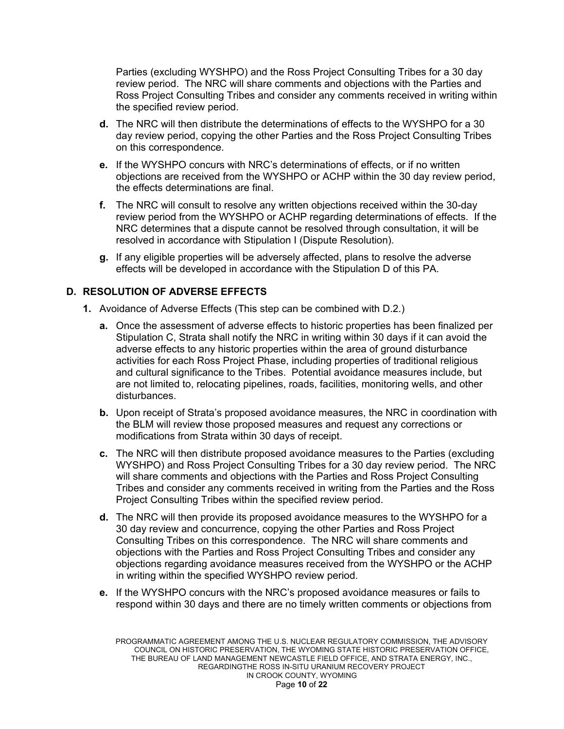Parties (excluding WYSHPO) and the Ross Project Consulting Tribes for a 30 day review period. The NRC will share comments and objections with the Parties and Ross Project Consulting Tribes and consider any comments received in writing within the specified review period.

- **d.** The NRC will then distribute the determinations of effects to the WYSHPO for a 30 day review period, copying the other Parties and the Ross Project Consulting Tribes on this correspondence.
- **e.** If the WYSHPO concurs with NRC's determinations of effects, or if no written objections are received from the WYSHPO or ACHP within the 30 day review period, the effects determinations are final.
- **f.** The NRC will consult to resolve any written objections received within the 30-day review period from the WYSHPO or ACHP regarding determinations of effects. If the NRC determines that a dispute cannot be resolved through consultation, it will be resolved in accordance with Stipulation I (Dispute Resolution).
- **g.** If any eligible properties will be adversely affected, plans to resolve the adverse effects will be developed in accordance with the Stipulation D of this PA.

# **D. RESOLUTION OF ADVERSE EFFECTS**

- **1.** Avoidance of Adverse Effects (This step can be combined with D.2.)
	- **a.** Once the assessment of adverse effects to historic properties has been finalized per Stipulation C, Strata shall notify the NRC in writing within 30 days if it can avoid the adverse effects to any historic properties within the area of ground disturbance activities for each Ross Project Phase, including properties of traditional religious and cultural significance to the Tribes. Potential avoidance measures include, but are not limited to, relocating pipelines, roads, facilities, monitoring wells, and other disturbances.
	- **b.** Upon receipt of Strata's proposed avoidance measures, the NRC in coordination with the BLM will review those proposed measures and request any corrections or modifications from Strata within 30 days of receipt.
	- **c.** The NRC will then distribute proposed avoidance measures to the Parties (excluding WYSHPO) and Ross Project Consulting Tribes for a 30 day review period. The NRC will share comments and objections with the Parties and Ross Project Consulting Tribes and consider any comments received in writing from the Parties and the Ross Project Consulting Tribes within the specified review period.
	- **d.** The NRC will then provide its proposed avoidance measures to the WYSHPO for a 30 day review and concurrence, copying the other Parties and Ross Project Consulting Tribes on this correspondence. The NRC will share comments and objections with the Parties and Ross Project Consulting Tribes and consider any objections regarding avoidance measures received from the WYSHPO or the ACHP in writing within the specified WYSHPO review period.
	- **e.** If the WYSHPO concurs with the NRC's proposed avoidance measures or fails to respond within 30 days and there are no timely written comments or objections from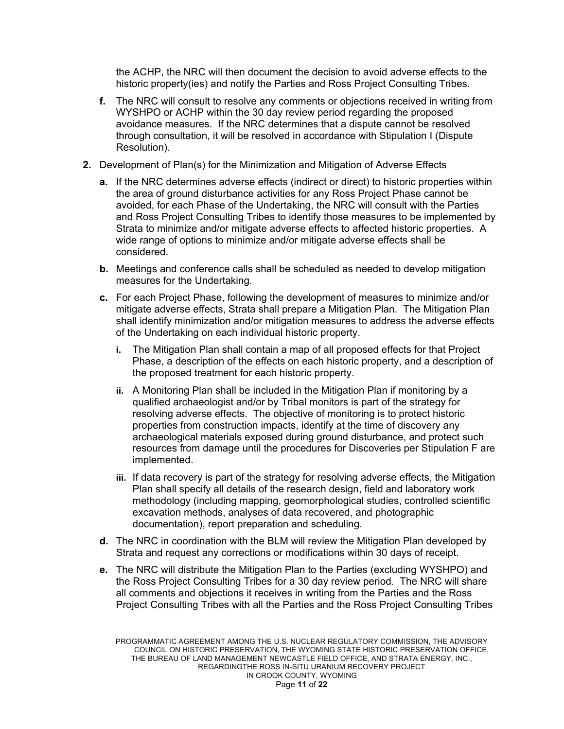the ACHP, the NRC will then document the decision to avoid adverse effects to the historic property(ies) and notify the Parties and Ross Project Consulting Tribes.

- **f.** The NRC will consult to resolve any comments or objections received in writing from WYSHPO or ACHP within the 30 day review period regarding the proposed avoidance measures. If the NRC determines that a dispute cannot be resolved through consultation, it will be resolved in accordance with Stipulation I (Dispute Resolution).
- **2.** Development of Plan(s) for the Minimization and Mitigation of Adverse Effects
	- **a.** If the NRC determines adverse effects (indirect or direct) to historic properties within the area of ground disturbance activities for any Ross Project Phase cannot be avoided, for each Phase of the Undertaking, the NRC will consult with the Parties and Ross Project Consulting Tribes to identify those measures to be implemented by Strata to minimize and/or mitigate adverse effects to affected historic properties. A wide range of options to minimize and/or mitigate adverse effects shall be considered.
	- **b.** Meetings and conference calls shall be scheduled as needed to develop mitigation measures for the Undertaking.
	- **c.** For each Project Phase, following the development of measures to minimize and/or mitigate adverse effects, Strata shall prepare a Mitigation Plan. The Mitigation Plan shall identify minimization and/or mitigation measures to address the adverse effects of the Undertaking on each individual historic property.
		- **i.** The Mitigation Plan shall contain a map of all proposed effects for that Project Phase, a description of the effects on each historic property, and a description of the proposed treatment for each historic property.
		- **ii.** A Monitoring Plan shall be included in the Mitigation Plan if monitoring by a qualified archaeologist and/or by Tribal monitors is part of the strategy for resolving adverse effects. The objective of monitoring is to protect historic properties from construction impacts, identify at the time of discovery any archaeological materials exposed during ground disturbance, and protect such resources from damage until the procedures for Discoveries per Stipulation F are implemented.
		- **iii.** If data recovery is part of the strategy for resolving adverse effects, the Mitigation Plan shall specify all details of the research design, field and laboratory work methodology (including mapping, geomorphological studies, controlled scientific excavation methods, analyses of data recovered, and photographic documentation), report preparation and scheduling.
	- **d.** The NRC in coordination with the BLM will review the Mitigation Plan developed by Strata and request any corrections or modifications within 30 days of receipt.
	- **e.** The NRC will distribute the Mitigation Plan to the Parties (excluding WYSHPO) and the Ross Project Consulting Tribes for a 30 day review period. The NRC will share all comments and objections it receives in writing from the Parties and the Ross Project Consulting Tribes with all the Parties and the Ross Project Consulting Tribes

PROGRAMMATIC AGREEMENT AMONG THE U.S. NUCLEAR REGULATORY COMMISSION, THE ADVISORY COUNCIL ON HISTORIC PRESERVATION, THE WYOMING STATE HISTORIC PRESERVATION OFFICE, THE BUREAU OF LAND MANAGEMENT NEWCASTLE FIELD OFFICE, AND STRATA ENERGY, INC., REGARDINGTHE ROSS IN-SITU URANIUM RECOVERY PROJECT IN CROOK COUNTY, WYOMING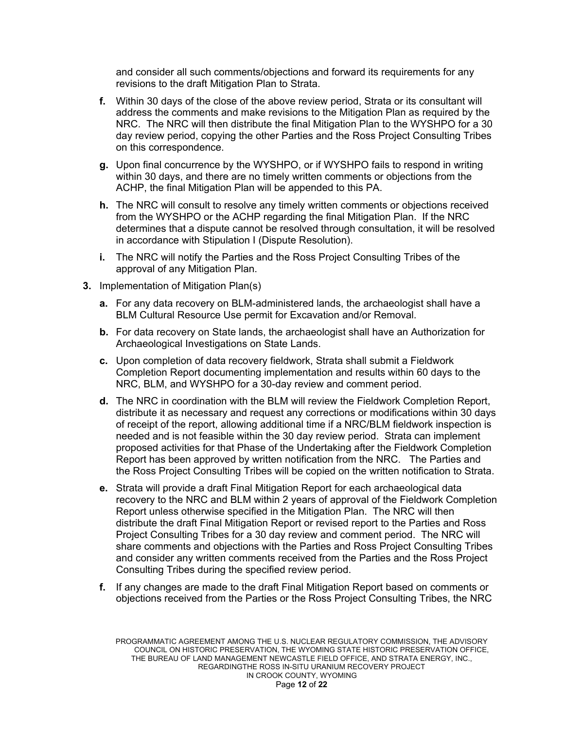and consider all such comments/objections and forward its requirements for any revisions to the draft Mitigation Plan to Strata.

- **f.** Within 30 days of the close of the above review period, Strata or its consultant will address the comments and make revisions to the Mitigation Plan as required by the NRC. The NRC will then distribute the final Mitigation Plan to the WYSHPO for a 30 day review period, copying the other Parties and the Ross Project Consulting Tribes on this correspondence.
- **g.** Upon final concurrence by the WYSHPO, or if WYSHPO fails to respond in writing within 30 days, and there are no timely written comments or objections from the ACHP, the final Mitigation Plan will be appended to this PA.
- **h.** The NRC will consult to resolve any timely written comments or objections received from the WYSHPO or the ACHP regarding the final Mitigation Plan. If the NRC determines that a dispute cannot be resolved through consultation, it will be resolved in accordance with Stipulation I (Dispute Resolution).
- **i.** The NRC will notify the Parties and the Ross Project Consulting Tribes of the approval of any Mitigation Plan.
- **3.** Implementation of Mitigation Plan(s)
	- **a.** For any data recovery on BLM-administered lands, the archaeologist shall have a BLM Cultural Resource Use permit for Excavation and/or Removal.
	- **b.** For data recovery on State lands, the archaeologist shall have an Authorization for Archaeological Investigations on State Lands.
	- **c.** Upon completion of data recovery fieldwork, Strata shall submit a Fieldwork Completion Report documenting implementation and results within 60 days to the NRC, BLM, and WYSHPO for a 30-day review and comment period.
	- **d.** The NRC in coordination with the BLM will review the Fieldwork Completion Report, distribute it as necessary and request any corrections or modifications within 30 days of receipt of the report, allowing additional time if a NRC/BLM fieldwork inspection is needed and is not feasible within the 30 day review period. Strata can implement proposed activities for that Phase of the Undertaking after the Fieldwork Completion Report has been approved by written notification from the NRC. The Parties and the Ross Project Consulting Tribes will be copied on the written notification to Strata.
	- **e.** Strata will provide a draft Final Mitigation Report for each archaeological data recovery to the NRC and BLM within 2 years of approval of the Fieldwork Completion Report unless otherwise specified in the Mitigation Plan. The NRC will then distribute the draft Final Mitigation Report or revised report to the Parties and Ross Project Consulting Tribes for a 30 day review and comment period. The NRC will share comments and objections with the Parties and Ross Project Consulting Tribes and consider any written comments received from the Parties and the Ross Project Consulting Tribes during the specified review period.
	- **f.** If any changes are made to the draft Final Mitigation Report based on comments or objections received from the Parties or the Ross Project Consulting Tribes, the NRC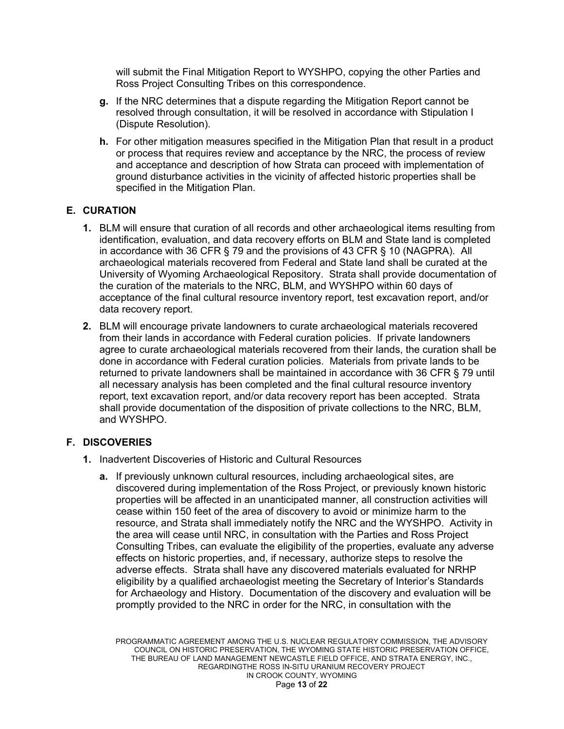will submit the Final Mitigation Report to WYSHPO, copying the other Parties and Ross Project Consulting Tribes on this correspondence.

- **g.** If the NRC determines that a dispute regarding the Mitigation Report cannot be resolved through consultation, it will be resolved in accordance with Stipulation I (Dispute Resolution).
- **h.** For other mitigation measures specified in the Mitigation Plan that result in a product or process that requires review and acceptance by the NRC, the process of review and acceptance and description of how Strata can proceed with implementation of ground disturbance activities in the vicinity of affected historic properties shall be specified in the Mitigation Plan.

# **E. CURATION**

- **1.** BLM will ensure that curation of all records and other archaeological items resulting from identification, evaluation, and data recovery efforts on BLM and State land is completed in accordance with 36 CFR § 79 and the provisions of 43 CFR § 10 (NAGPRA). All archaeological materials recovered from Federal and State land shall be curated at the University of Wyoming Archaeological Repository. Strata shall provide documentation of the curation of the materials to the NRC, BLM, and WYSHPO within 60 days of acceptance of the final cultural resource inventory report, test excavation report, and/or data recovery report.
- **2.** BLM will encourage private landowners to curate archaeological materials recovered from their lands in accordance with Federal curation policies. If private landowners agree to curate archaeological materials recovered from their lands, the curation shall be done in accordance with Federal curation policies. Materials from private lands to be returned to private landowners shall be maintained in accordance with 36 CFR § 79 until all necessary analysis has been completed and the final cultural resource inventory report, text excavation report, and/or data recovery report has been accepted. Strata shall provide documentation of the disposition of private collections to the NRC, BLM, and WYSHPO.

# **F. DISCOVERIES**

- **1.** Inadvertent Discoveries of Historic and Cultural Resources
	- **a.** If previously unknown cultural resources, including archaeological sites, are discovered during implementation of the Ross Project, or previously known historic properties will be affected in an unanticipated manner, all construction activities will cease within 150 feet of the area of discovery to avoid or minimize harm to the resource, and Strata shall immediately notify the NRC and the WYSHPO. Activity in the area will cease until NRC, in consultation with the Parties and Ross Project Consulting Tribes, can evaluate the eligibility of the properties, evaluate any adverse effects on historic properties, and, if necessary, authorize steps to resolve the adverse effects. Strata shall have any discovered materials evaluated for NRHP eligibility by a qualified archaeologist meeting the Secretary of Interior's Standards for Archaeology and History. Documentation of the discovery and evaluation will be promptly provided to the NRC in order for the NRC, in consultation with the

PROGRAMMATIC AGREEMENT AMONG THE U.S. NUCLEAR REGULATORY COMMISSION, THE ADVISORY COUNCIL ON HISTORIC PRESERVATION, THE WYOMING STATE HISTORIC PRESERVATION OFFICE, THE BUREAU OF LAND MANAGEMENT NEWCASTLE FIELD OFFICE, AND STRATA ENERGY, INC., REGARDINGTHE ROSS IN-SITU URANIUM RECOVERY PROJECT IN CROOK COUNTY, WYOMING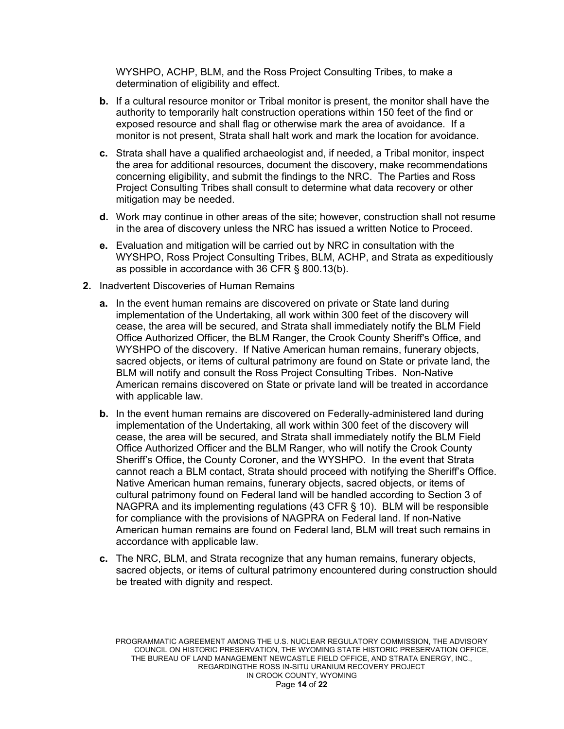WYSHPO, ACHP, BLM, and the Ross Project Consulting Tribes, to make a determination of eligibility and effect.

- **b.** If a cultural resource monitor or Tribal monitor is present, the monitor shall have the authority to temporarily halt construction operations within 150 feet of the find or exposed resource and shall flag or otherwise mark the area of avoidance. If a monitor is not present, Strata shall halt work and mark the location for avoidance.
- **c.** Strata shall have a qualified archaeologist and, if needed, a Tribal monitor, inspect the area for additional resources, document the discovery, make recommendations concerning eligibility, and submit the findings to the NRC. The Parties and Ross Project Consulting Tribes shall consult to determine what data recovery or other mitigation may be needed.
- **d.** Work may continue in other areas of the site; however, construction shall not resume in the area of discovery unless the NRC has issued a written Notice to Proceed.
- **e.** Evaluation and mitigation will be carried out by NRC in consultation with the WYSHPO, Ross Project Consulting Tribes, BLM, ACHP, and Strata as expeditiously as possible in accordance with 36 CFR § 800.13(b).
- **2.** Inadvertent Discoveries of Human Remains
	- **a.** In the event human remains are discovered on private or State land during implementation of the Undertaking, all work within 300 feet of the discovery will cease, the area will be secured, and Strata shall immediately notify the BLM Field Office Authorized Officer, the BLM Ranger, the Crook County Sheriff's Office, and WYSHPO of the discovery. If Native American human remains, funerary objects, sacred objects, or items of cultural patrimony are found on State or private land, the BLM will notify and consult the Ross Project Consulting Tribes. Non-Native American remains discovered on State or private land will be treated in accordance with applicable law.
	- **b.** In the event human remains are discovered on Federally-administered land during implementation of the Undertaking, all work within 300 feet of the discovery will cease, the area will be secured, and Strata shall immediately notify the BLM Field Office Authorized Officer and the BLM Ranger, who will notify the Crook County Sheriff's Office, the County Coroner, and the WYSHPO. In the event that Strata cannot reach a BLM contact, Strata should proceed with notifying the Sheriff's Office. Native American human remains, funerary objects, sacred objects, or items of cultural patrimony found on Federal land will be handled according to Section 3 of NAGPRA and its implementing regulations (43 CFR § 10). BLM will be responsible for compliance with the provisions of NAGPRA on Federal land. If non-Native American human remains are found on Federal land, BLM will treat such remains in accordance with applicable law.
	- **c.** The NRC, BLM, and Strata recognize that any human remains, funerary objects, sacred objects, or items of cultural patrimony encountered during construction should be treated with dignity and respect.

PROGRAMMATIC AGREEMENT AMONG THE U.S. NUCLEAR REGULATORY COMMISSION, THE ADVISORY COUNCIL ON HISTORIC PRESERVATION, THE WYOMING STATE HISTORIC PRESERVATION OFFICE, THE BUREAU OF LAND MANAGEMENT NEWCASTLE FIELD OFFICE, AND STRATA ENERGY, INC., REGARDINGTHE ROSS IN-SITU URANIUM RECOVERY PROJECT IN CROOK COUNTY, WYOMING

Page **14** of **22**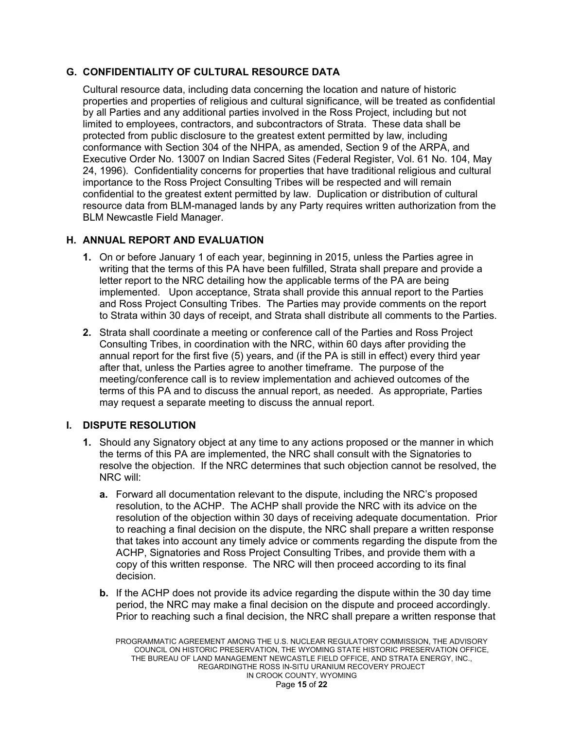# **G. CONFIDENTIALITY OF CULTURAL RESOURCE DATA**

Cultural resource data, including data concerning the location and nature of historic properties and properties of religious and cultural significance, will be treated as confidential by all Parties and any additional parties involved in the Ross Project, including but not limited to employees, contractors, and subcontractors of Strata. These data shall be protected from public disclosure to the greatest extent permitted by law, including conformance with Section 304 of the NHPA, as amended, Section 9 of the ARPA, and Executive Order No. 13007 on Indian Sacred Sites (Federal Register, Vol. 61 No. 104, May 24, 1996). Confidentiality concerns for properties that have traditional religious and cultural importance to the Ross Project Consulting Tribes will be respected and will remain confidential to the greatest extent permitted by law. Duplication or distribution of cultural resource data from BLM-managed lands by any Party requires written authorization from the BLM Newcastle Field Manager.

# **H. ANNUAL REPORT AND EVALUATION**

- **1.** On or before January 1 of each year, beginning in 2015, unless the Parties agree in writing that the terms of this PA have been fulfilled, Strata shall prepare and provide a letter report to the NRC detailing how the applicable terms of the PA are being implemented. Upon acceptance, Strata shall provide this annual report to the Parties and Ross Project Consulting Tribes. The Parties may provide comments on the report to Strata within 30 days of receipt, and Strata shall distribute all comments to the Parties.
- **2.** Strata shall coordinate a meeting or conference call of the Parties and Ross Project Consulting Tribes, in coordination with the NRC, within 60 days after providing the annual report for the first five (5) years, and (if the PA is still in effect) every third year after that, unless the Parties agree to another timeframe. The purpose of the meeting/conference call is to review implementation and achieved outcomes of the terms of this PA and to discuss the annual report, as needed. As appropriate, Parties may request a separate meeting to discuss the annual report.

# **I. DISPUTE RESOLUTION**

- **1.** Should any Signatory object at any time to any actions proposed or the manner in which the terms of this PA are implemented, the NRC shall consult with the Signatories to resolve the objection. If the NRC determines that such objection cannot be resolved, the NRC will:
	- **a.** Forward all documentation relevant to the dispute, including the NRC's proposed resolution, to the ACHP. The ACHP shall provide the NRC with its advice on the resolution of the objection within 30 days of receiving adequate documentation. Prior to reaching a final decision on the dispute, the NRC shall prepare a written response that takes into account any timely advice or comments regarding the dispute from the ACHP, Signatories and Ross Project Consulting Tribes, and provide them with a copy of this written response. The NRC will then proceed according to its final decision.
	- **b.** If the ACHP does not provide its advice regarding the dispute within the 30 day time period, the NRC may make a final decision on the dispute and proceed accordingly. Prior to reaching such a final decision, the NRC shall prepare a written response that

PROGRAMMATIC AGREEMENT AMONG THE U.S. NUCLEAR REGULATORY COMMISSION, THE ADVISORY COUNCIL ON HISTORIC PRESERVATION, THE WYOMING STATE HISTORIC PRESERVATION OFFICE, THE BUREAU OF LAND MANAGEMENT NEWCASTLE FIELD OFFICE, AND STRATA ENERGY, INC., REGARDINGTHE ROSS IN-SITU URANIUM RECOVERY PROJECT IN CROOK COUNTY, WYOMING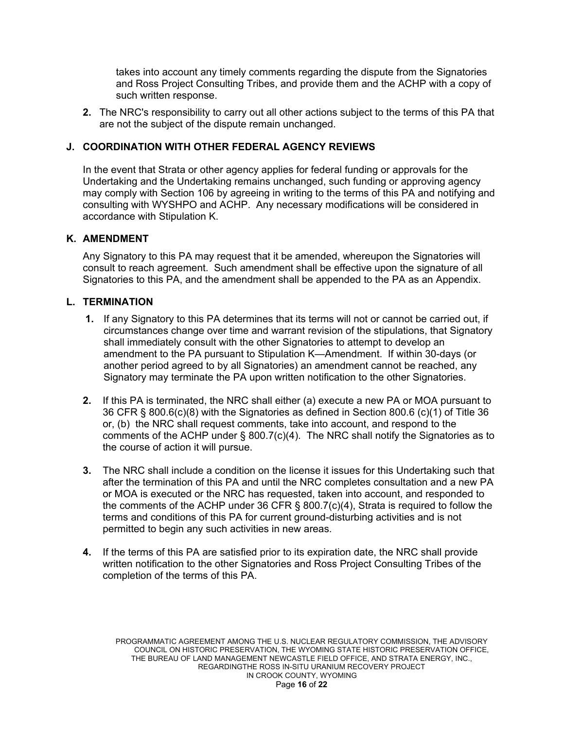takes into account any timely comments regarding the dispute from the Signatories and Ross Project Consulting Tribes, and provide them and the ACHP with a copy of such written response.

**2.** The NRC's responsibility to carry out all other actions subject to the terms of this PA that are not the subject of the dispute remain unchanged.

# **J. COORDINATION WITH OTHER FEDERAL AGENCY REVIEWS**

In the event that Strata or other agency applies for federal funding or approvals for the Undertaking and the Undertaking remains unchanged, such funding or approving agency may comply with Section 106 by agreeing in writing to the terms of this PA and notifying and consulting with WYSHPO and ACHP. Any necessary modifications will be considered in accordance with Stipulation K.

# **K. AMENDMENT**

Any Signatory to this PA may request that it be amended, whereupon the Signatories will consult to reach agreement. Such amendment shall be effective upon the signature of all Signatories to this PA, and the amendment shall be appended to the PA as an Appendix.

#### **L. TERMINATION**

- **1.** If any Signatory to this PA determines that its terms will not or cannot be carried out, if circumstances change over time and warrant revision of the stipulations, that Signatory shall immediately consult with the other Signatories to attempt to develop an amendment to the PA pursuant to Stipulation K—Amendment. If within 30-days (or another period agreed to by all Signatories) an amendment cannot be reached, any Signatory may terminate the PA upon written notification to the other Signatories.
- **2.** If this PA is terminated, the NRC shall either (a) execute a new PA or MOA pursuant to 36 CFR § 800.6(c)(8) with the Signatories as defined in Section 800.6 (c)(1) of Title 36 or, (b) the NRC shall request comments, take into account, and respond to the comments of the ACHP under  $\S$  800.7(c)(4). The NRC shall notify the Signatories as to the course of action it will pursue.
- **3.** The NRC shall include a condition on the license it issues for this Undertaking such that after the termination of this PA and until the NRC completes consultation and a new PA or MOA is executed or the NRC has requested, taken into account, and responded to the comments of the ACHP under 36 CFR § 800.7(c)(4), Strata is required to follow the terms and conditions of this PA for current ground-disturbing activities and is not permitted to begin any such activities in new areas.
- **4.** If the terms of this PA are satisfied prior to its expiration date, the NRC shall provide written notification to the other Signatories and Ross Project Consulting Tribes of the completion of the terms of this PA.

PROGRAMMATIC AGREEMENT AMONG THE U.S. NUCLEAR REGULATORY COMMISSION, THE ADVISORY COUNCIL ON HISTORIC PRESERVATION, THE WYOMING STATE HISTORIC PRESERVATION OFFICE, THE BUREAU OF LAND MANAGEMENT NEWCASTLE FIELD OFFICE, AND STRATA ENERGY, INC., REGARDINGTHE ROSS IN-SITU URANIUM RECOVERY PROJECT IN CROOK COUNTY, WYOMING Page **16** of **22**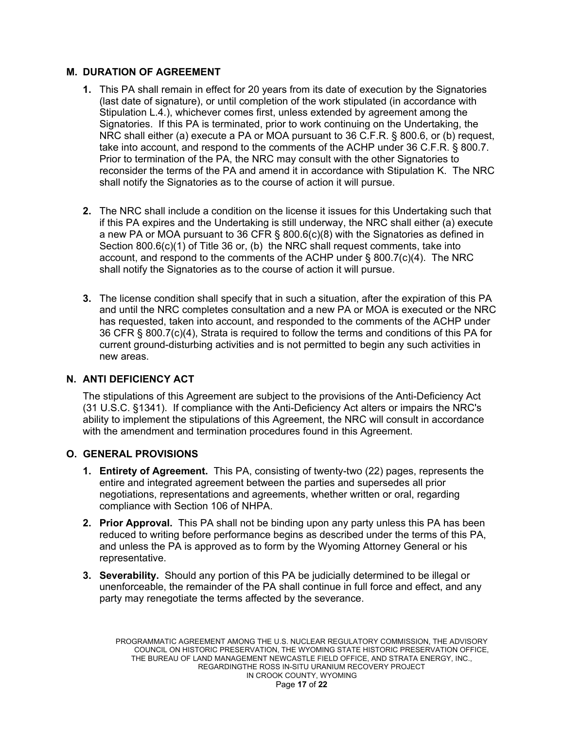# **M. DURATION OF AGREEMENT**

- **1.** This PA shall remain in effect for 20 years from its date of execution by the Signatories (last date of signature), or until completion of the work stipulated (in accordance with Stipulation L.4.), whichever comes first, unless extended by agreement among the Signatories. If this PA is terminated, prior to work continuing on the Undertaking, the NRC shall either (a) execute a PA or MOA pursuant to 36 C.F.R. § 800.6, or (b) request, take into account, and respond to the comments of the ACHP under 36 C.F.R. § 800.7. Prior to termination of the PA, the NRC may consult with the other Signatories to reconsider the terms of the PA and amend it in accordance with Stipulation K. The NRC shall notify the Signatories as to the course of action it will pursue.
- **2.** The NRC shall include a condition on the license it issues for this Undertaking such that if this PA expires and the Undertaking is still underway, the NRC shall either (a) execute a new PA or MOA pursuant to 36 CFR § 800.6(c)(8) with the Signatories as defined in Section 800.6(c)(1) of Title 36 or, (b) the NRC shall request comments, take into account, and respond to the comments of the ACHP under § 800.7(c)(4). The NRC shall notify the Signatories as to the course of action it will pursue.
- **3.** The license condition shall specify that in such a situation, after the expiration of this PA and until the NRC completes consultation and a new PA or MOA is executed or the NRC has requested, taken into account, and responded to the comments of the ACHP under 36 CFR § 800.7(c)(4), Strata is required to follow the terms and conditions of this PA for current ground-disturbing activities and is not permitted to begin any such activities in new areas.

# **N. ANTI DEFICIENCY ACT**

The stipulations of this Agreement are subject to the provisions of the Anti-Deficiency Act (31 U.S.C. §1341). If compliance with the Anti-Deficiency Act alters or impairs the NRC's ability to implement the stipulations of this Agreement, the NRC will consult in accordance with the amendment and termination procedures found in this Agreement.

# **O. GENERAL PROVISIONS**

- **1. Entirety of Agreement.** This PA, consisting of twenty-two (22) pages, represents the entire and integrated agreement between the parties and supersedes all prior negotiations, representations and agreements, whether written or oral, regarding compliance with Section 106 of NHPA.
- **2. Prior Approval.** This PA shall not be binding upon any party unless this PA has been reduced to writing before performance begins as described under the terms of this PA, and unless the PA is approved as to form by the Wyoming Attorney General or his representative.
- **3. Severability.** Should any portion of this PA be judicially determined to be illegal or unenforceable, the remainder of the PA shall continue in full force and effect, and any party may renegotiate the terms affected by the severance.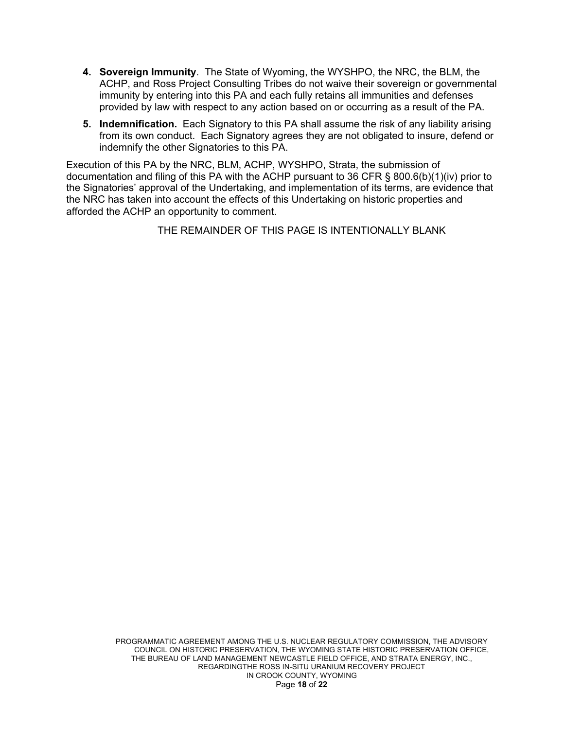- **4. Sovereign Immunity**. The State of Wyoming, the WYSHPO, the NRC, the BLM, the ACHP, and Ross Project Consulting Tribes do not waive their sovereign or governmental immunity by entering into this PA and each fully retains all immunities and defenses provided by law with respect to any action based on or occurring as a result of the PA.
- **5. Indemnification.** Each Signatory to this PA shall assume the risk of any liability arising from its own conduct. Each Signatory agrees they are not obligated to insure, defend or indemnify the other Signatories to this PA.

Execution of this PA by the NRC, BLM, ACHP, WYSHPO, Strata, the submission of documentation and filing of this PA with the ACHP pursuant to 36 CFR § 800.6(b)(1)(iv) prior to the Signatories' approval of the Undertaking, and implementation of its terms, are evidence that the NRC has taken into account the effects of this Undertaking on historic properties and afforded the ACHP an opportunity to comment.

THE REMAINDER OF THIS PAGE IS INTENTIONALLY BLANK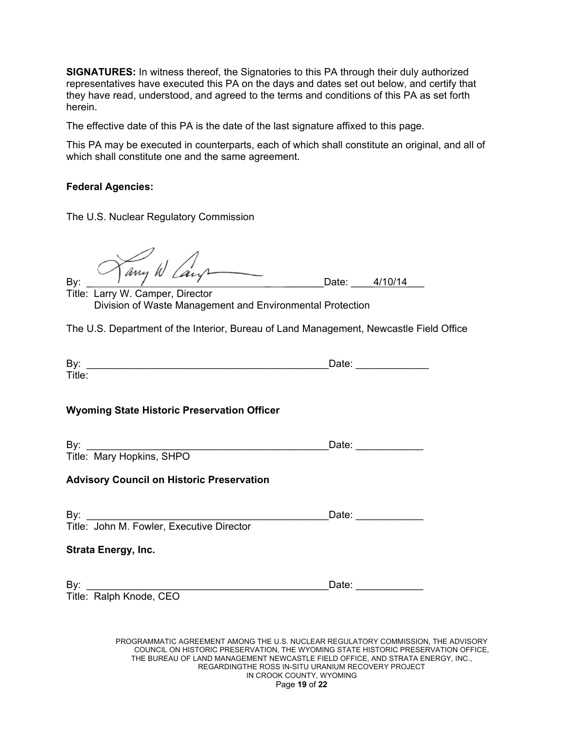**SIGNATURES:** In witness thereof, the Signatories to this PA through their duly authorized representatives have executed this PA on the days and dates set out below, and certify that they have read, understood, and agreed to the terms and conditions of this PA as set forth herein.

The effective date of this PA is the date of the last signature affixed to this page.

This PA may be executed in counterparts, each of which shall constitute an original, and all of which shall constitute one and the same agreement.

#### **Federal Agencies:**

The U.S. Nuclear Regulatory Commission

 $By:$   $\overbrace{ \begin{array}{c} \sqrt{a_{\mu}} \end{array}}^{M}$   $\overbrace{ \begin{array}{c} \sqrt{a_{\mu}} \end{array}}^{M}$   $\overbrace{ \begin{array}{c} \sqrt{a_{\mu}} \end{array}}^{M}$   $Date:$   $\overbrace{ \begin{array}{c} 4/10/14 \end{array}}^{M}$ 

Title: Larry W. Camper, Director Division of Waste Management and Environmental Protection

The U.S. Department of the Interior, Bureau of Land Management, Newcastle Field Office

| $\blacksquare$<br>. .<br>Þ۱ |  |
|-----------------------------|--|
| Title.                      |  |

# **Wyoming State Historic Preservation Officer**

By: \_\_\_\_\_\_\_\_\_\_\_\_\_\_\_\_\_\_\_\_\_\_\_\_\_\_\_\_\_\_\_\_\_\_\_\_\_\_\_\_\_\_\_Date: \_\_\_\_\_\_\_\_\_\_\_\_ Title: Mary Hopkins, SHPO

# **Advisory Council on Historic Preservation**

| By: |                                           | Date: |  |
|-----|-------------------------------------------|-------|--|
|     | Title: John M. Fowler, Executive Director |       |  |

# **Strata Energy, Inc.**

By: \_\_\_\_\_\_\_\_\_\_\_\_\_\_\_\_\_\_\_\_\_\_\_\_\_\_\_\_\_\_\_\_\_\_\_\_\_\_\_\_\_\_\_Date: \_\_\_\_\_\_\_\_\_\_\_\_

Title: Ralph Knode, CEO

PROGRAMMATIC AGREEMENT AMONG THE U.S. NUCLEAR REGULATORY COMMISSION, THE ADVISORY COUNCIL ON HISTORIC PRESERVATION, THE WYOMING STATE HISTORIC PRESERVATION OFFICE, THE BUREAU OF LAND MANAGEMENT NEWCASTLE FIELD OFFICE, AND STRATA ENERGY, INC., REGARDINGTHE ROSS IN-SITU URANIUM RECOVERY PROJECT IN CROOK COUNTY, WYOMING Page **19** of **22**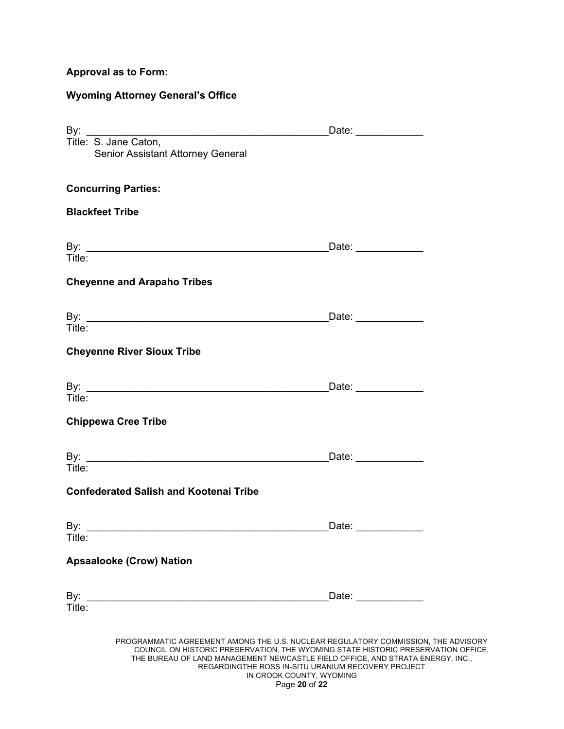# **Approval as to Form:**

# **Wyoming Attorney General's Office**

|                                                            | _Date: _____________                                                                                                                                                                                                                                                                                                                       |
|------------------------------------------------------------|--------------------------------------------------------------------------------------------------------------------------------------------------------------------------------------------------------------------------------------------------------------------------------------------------------------------------------------------|
| Title: S. Jane Caton,<br>Senior Assistant Attorney General |                                                                                                                                                                                                                                                                                                                                            |
| <b>Concurring Parties:</b>                                 |                                                                                                                                                                                                                                                                                                                                            |
| <b>Blackfeet Tribe</b>                                     |                                                                                                                                                                                                                                                                                                                                            |
| Title:                                                     | Date: _____________                                                                                                                                                                                                                                                                                                                        |
| <b>Cheyenne and Arapaho Tribes</b>                         |                                                                                                                                                                                                                                                                                                                                            |
| Title:                                                     |                                                                                                                                                                                                                                                                                                                                            |
| <b>Cheyenne River Sioux Tribe</b>                          |                                                                                                                                                                                                                                                                                                                                            |
| Title:                                                     | Date: _____________                                                                                                                                                                                                                                                                                                                        |
| <b>Chippewa Cree Tribe</b>                                 |                                                                                                                                                                                                                                                                                                                                            |
| Title:                                                     | Date: _____________                                                                                                                                                                                                                                                                                                                        |
| <b>Confederated Salish and Kootenai Tribe</b>              |                                                                                                                                                                                                                                                                                                                                            |
| Title:                                                     | Date: ____________                                                                                                                                                                                                                                                                                                                         |
| <b>Apsaalooke (Crow) Nation</b>                            |                                                                                                                                                                                                                                                                                                                                            |
| Title:                                                     | Date: Date:                                                                                                                                                                                                                                                                                                                                |
|                                                            | PROGRAMMATIC AGREEMENT AMONG THE U.S. NUCLEAR REGULATORY COMMISSION, THE ADVISORY<br>COUNCIL ON HISTORIC PRESERVATION, THE WYOMING STATE HISTORIC PRESERVATION OFFICE,<br>THE BUREAU OF LAND MANAGEMENT NEWCASTLE FIELD OFFICE, AND STRATA ENERGY, INC.,<br>REGARDINGTHE ROSS IN-SITU URANIUM RECOVERY PROJECT<br>IN CROOK COUNTY, WYOMING |

Page **20** of **22**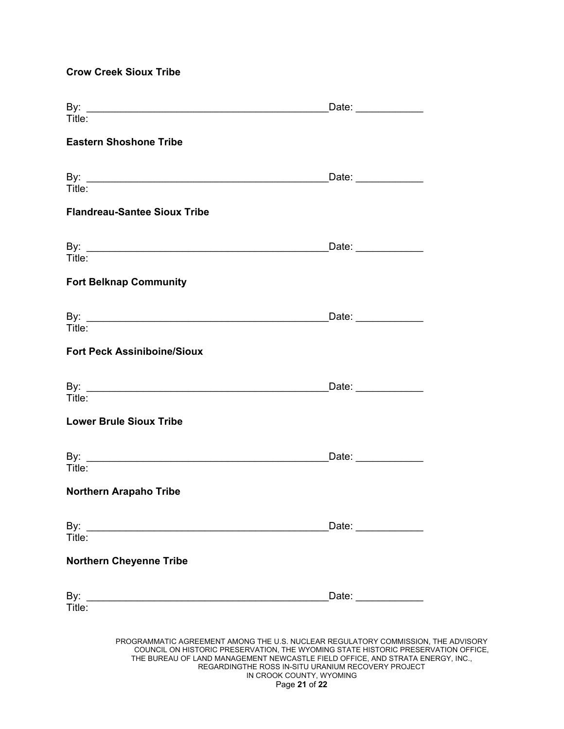# **Crow Creek Sioux Tribe**

|                                                                                                                                              | Date: Date:                                                                                                                                                                                                                                                                                                                                |  |
|----------------------------------------------------------------------------------------------------------------------------------------------|--------------------------------------------------------------------------------------------------------------------------------------------------------------------------------------------------------------------------------------------------------------------------------------------------------------------------------------------|--|
| Title:                                                                                                                                       |                                                                                                                                                                                                                                                                                                                                            |  |
| <b>Eastern Shoshone Tribe</b>                                                                                                                |                                                                                                                                                                                                                                                                                                                                            |  |
|                                                                                                                                              |                                                                                                                                                                                                                                                                                                                                            |  |
| Title:                                                                                                                                       |                                                                                                                                                                                                                                                                                                                                            |  |
| <b>Flandreau-Santee Sioux Tribe</b>                                                                                                          |                                                                                                                                                                                                                                                                                                                                            |  |
|                                                                                                                                              | _Date: _____________                                                                                                                                                                                                                                                                                                                       |  |
| Title:                                                                                                                                       |                                                                                                                                                                                                                                                                                                                                            |  |
| <b>Fort Belknap Community</b>                                                                                                                |                                                                                                                                                                                                                                                                                                                                            |  |
|                                                                                                                                              | Date: <b>Date:</b>                                                                                                                                                                                                                                                                                                                         |  |
| Title:                                                                                                                                       |                                                                                                                                                                                                                                                                                                                                            |  |
| <b>Fort Peck Assiniboine/Sioux</b>                                                                                                           |                                                                                                                                                                                                                                                                                                                                            |  |
|                                                                                                                                              |                                                                                                                                                                                                                                                                                                                                            |  |
| Title:                                                                                                                                       |                                                                                                                                                                                                                                                                                                                                            |  |
| <b>Lower Brule Sioux Tribe</b>                                                                                                               |                                                                                                                                                                                                                                                                                                                                            |  |
|                                                                                                                                              | Date: _____________                                                                                                                                                                                                                                                                                                                        |  |
| Title:                                                                                                                                       |                                                                                                                                                                                                                                                                                                                                            |  |
| <b>Northern Arapaho Tribe</b>                                                                                                                |                                                                                                                                                                                                                                                                                                                                            |  |
| By: $\qquad \qquad$<br><u> 1990 - Johann John Barn, mars ar breithinn ar breithinn ar breithinn ar breithinn ar breithinn ar breithinn a</u> | Date:                                                                                                                                                                                                                                                                                                                                      |  |
| Title:                                                                                                                                       |                                                                                                                                                                                                                                                                                                                                            |  |
| <b>Northern Cheyenne Tribe</b>                                                                                                               |                                                                                                                                                                                                                                                                                                                                            |  |
|                                                                                                                                              | Date: _____________                                                                                                                                                                                                                                                                                                                        |  |
| Title:                                                                                                                                       |                                                                                                                                                                                                                                                                                                                                            |  |
|                                                                                                                                              | PROGRAMMATIC AGREEMENT AMONG THE U.S. NUCLEAR REGULATORY COMMISSION, THE ADVISORY<br>COUNCIL ON HISTORIC PRESERVATION, THE WYOMING STATE HISTORIC PRESERVATION OFFICE,<br>THE BUREAU OF LAND MANAGEMENT NEWCASTLE FIELD OFFICE, AND STRATA ENERGY, INC.,<br>REGARDINGTHE ROSS IN-SITU URANIUM RECOVERY PROJECT<br>IN CROOK COUNTY, WYOMING |  |

Page **21** of **22**